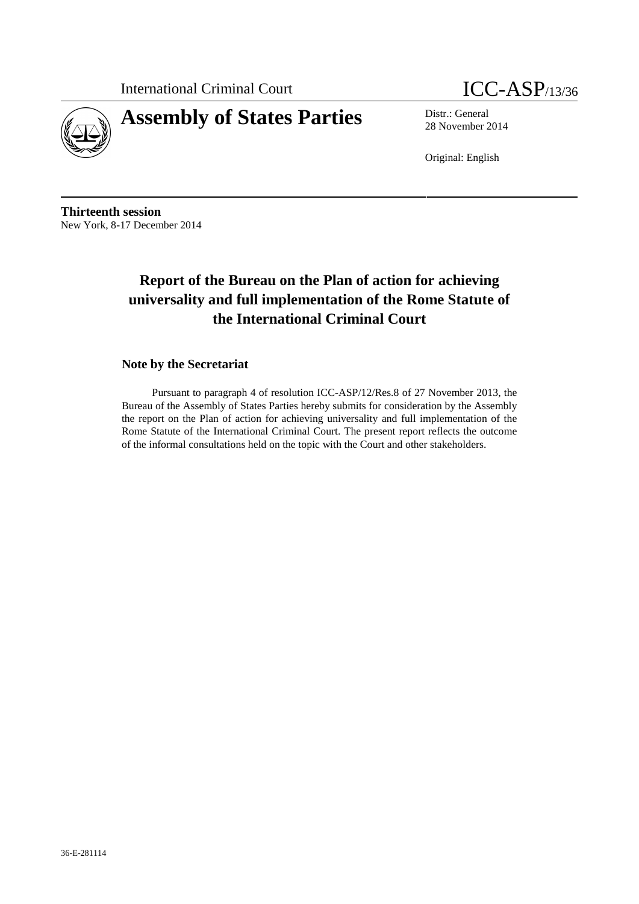International Criminal Court **ICC-ASP**/13/36





28 November 2014

Original: English

**Thirteenth session** New York, 8-17 December 2014

# **Report of the Bureau on the Plan of action for achieving universality and full implementation of the Rome Statute of the International Criminal Court**

## **Note by the Secretariat**

Pursuant to paragraph 4 of resolution ICC-ASP/12/Res.8 of 27 November 2013, the Bureau of the Assembly of States Parties hereby submits for consideration by the Assembly the report on the Plan of action for achieving universality and full implementation of the Rome Statute of the International Criminal Court. The present report reflects the outcome of the informal consultations held on the topic with the Court and other stakeholders.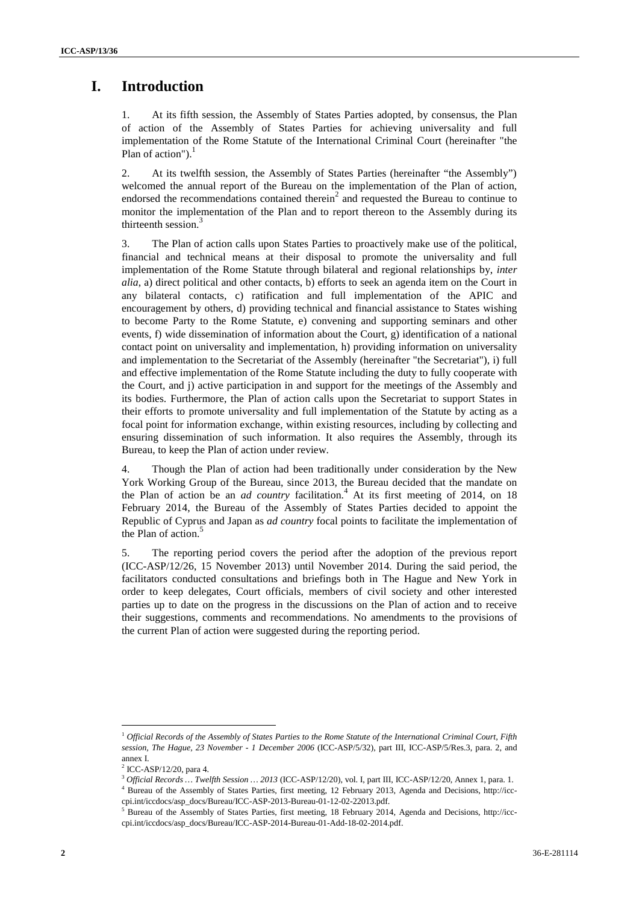## **I. Introduction**

1. At its fifth session, the Assembly of States Parties adopted, by consensus, the Plan of action of the Assembly of States Parties for achieving universality and full implementation of the Rome Statute of the International Criminal Court (hereinafter "the Plan of action"). $<sup>1</sup>$ </sup>

2. At its twelfth session, the Assembly of States Parties (hereinafter "the Assembly") welcomed the annual report of the Bureau on the implementation of the Plan of action, endorsed the recommendations contained therein<sup>2</sup> and requested the Bureau to continue to monitor the implementation of the Plan and to report thereon to the Assembly during its thirteenth session.<sup>3</sup>

3. The Plan of action calls upon States Parties to proactively make use of the political, financial and technical means at their disposal to promote the universality and full implementation of the Rome Statute through bilateral and regional relationships by, *inter alia*, a) direct political and other contacts, b) efforts to seek an agenda item on the Court in any bilateral contacts, c) ratification and full implementation of the APIC and encouragement by others, d) providing technical and financial assistance to States wishing to become Party to the Rome Statute, e) convening and supporting seminars and other events, f) wide dissemination of information about the Court, g) identification of a national contact point on universality and implementation, h) providing information on universality and implementation to the Secretariat of the Assembly (hereinafter "the Secretariat"), i) full and effective implementation of the Rome Statute including the duty to fully cooperate with the Court, and j) active participation in and support for the meetings of the Assembly and its bodies. Furthermore, the Plan of action calls upon the Secretariat to support States in their efforts to promote universality and full implementation of the Statute by acting as a focal point for information exchange, within existing resources, including by collecting and ensuring dissemination of such information. It also requires the Assembly, through its Bureau, to keep the Plan of action under review.

4. Though the Plan of action had been traditionally under consideration by the New York Working Group of the Bureau, since 2013, the Bureau decided that the mandate on the Plan of action be an *ad country* facilitation.<sup>4</sup> At its first meeting of 2014, on 18 February 2014, the Bureau of the Assembly of States Parties decided to appoint the Republic of Cyprus and Japan as *ad country* focal points to facilitate the implementation of the Plan of action.<sup>5</sup>

5. The reporting period covers the period after the adoption of the previous report (ICC-ASP/12/26, 15 November 2013) until November 2014. During the said period, the facilitators conducted consultations and briefings both in The Hague and New York in order to keep delegates, Court officials, members of civil society and other interested parties up to date on the progress in the discussions on the Plan of action and to receive their suggestions, comments and recommendations. No amendments to the provisions of the current Plan of action were suggested during the reporting period.

<sup>1</sup> *Official Records of the Assembly of States Parties to the Rome Statute of the International Criminal Court, Fifth session, The Hague, 23 November - 1 December 2006* (ICC-ASP/5/32), part III, ICC-ASP/5/Res.3, para. 2, and annex I.

<sup>2</sup> ICC-ASP/12/20, para 4.

<sup>3</sup> *Official Records … Twelfth Session … 2013* (ICC-ASP/12/20), vol. I, part III, ICC-ASP/12/20, Annex 1, para. 1.

<sup>4</sup> Bureau of the Assembly of States Parties, first meeting, 12 February 2013, Agenda and Decisions, http://icc cpi.int/iccdocs/asp\_docs/Bureau/ICC-ASP-2013-Bureau-01-12-02-22013.pdf.

<sup>&</sup>lt;sup>5</sup> Bureau of the Assembly of States Parties, first meeting, 18 February 2014, Agenda and Decisions, http://icccpi.int/iccdocs/asp\_docs/Bureau/ICC-ASP-2014-Bureau-01-Add-18-02-2014.pdf.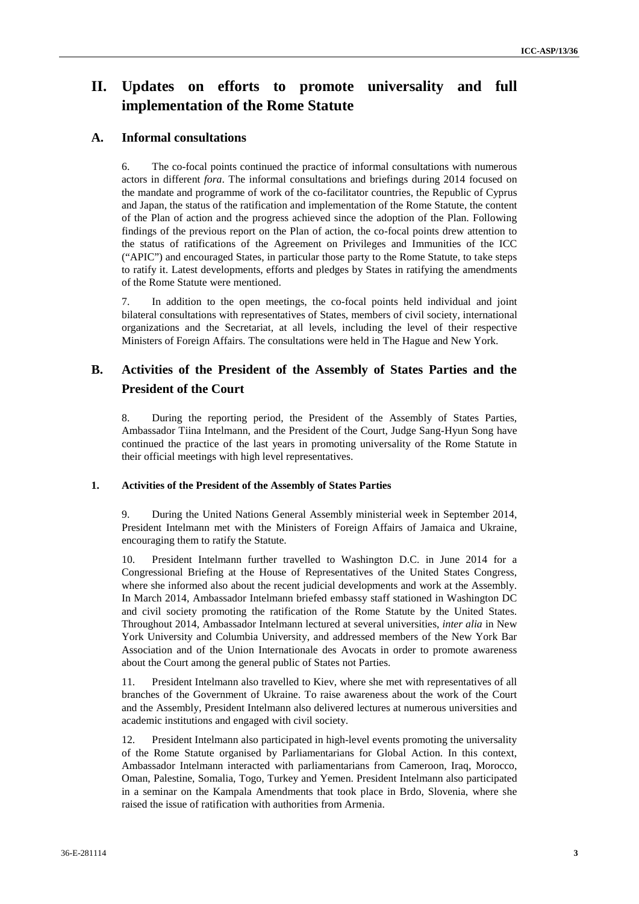# **II. Updates on efforts to promote universality and full implementation of the Rome Statute**

### **A. Informal consultations**

6. The co-focal points continued the practice of informal consultations with numerous actors in different *fora*. The informal consultations and briefings during 2014 focused on the mandate and programme of work of the co-facilitator countries, the Republic of Cyprus and Japan, the status of the ratification and implementation of the Rome Statute, the content of the Plan of action and the progress achieved since the adoption of the Plan. Following findings of the previous report on the Plan of action, the co-focal points drew attention to the status of ratifications of the Agreement on Privileges and Immunities of the ICC ("APIC") and encouraged States, in particular those party to the Rome Statute, to take steps to ratify it. Latest developments, efforts and pledges by States in ratifying the amendments of the Rome Statute were mentioned.

7. In addition to the open meetings, the co-focal points held individual and joint bilateral consultations with representatives of States, members of civil society, international organizations and the Secretariat, at all levels, including the level of their respective Ministers of Foreign Affairs. The consultations were held in The Hague and New York.

## **B. Activities of the President of the Assembly of States Parties and the President of the Court**

8. During the reporting period, the President of the Assembly of States Parties, Ambassador Tiina Intelmann, and the President of the Court, Judge Sang-Hyun Song have continued the practice of the last years in promoting universality of the Rome Statute in their official meetings with high level representatives.

#### **1. Activities of the President of the Assembly of States Parties**

9. During the United Nations General Assembly ministerial week in September 2014, President Intelmann met with the Ministers of Foreign Affairs of Jamaica and Ukraine, encouraging them to ratify the Statute.

10. President Intelmann further travelled to Washington D.C. in June 2014 for a Congressional Briefing at the House of Representatives of the United States Congress, where she informed also about the recent judicial developments and work at the Assembly. In March 2014, Ambassador Intelmann briefed embassy staff stationed in Washington DC and civil society promoting the ratification of the Rome Statute by the United States. Throughout 2014, Ambassador Intelmann lectured at several universities, *inter alia* in New York University and Columbia University, and addressed members of the New York Bar Association and of the Union Internationale des Avocats in order to promote awareness about the Court among the general public of States not Parties.

11. President Intelmann also travelled to Kiev, where she met with representatives of all branches of the Government of Ukraine. To raise awareness about the work of the Court and the Assembly, President Intelmann also delivered lectures at numerous universities and academic institutions and engaged with civil society.

12. President Intelmann also participated in high-level events promoting the universality of the Rome Statute organised by Parliamentarians for Global Action. In this context, Ambassador Intelmann interacted with parliamentarians from Cameroon, Iraq, Morocco, Oman, Palestine, Somalia, Togo, Turkey and Yemen. President Intelmann also participated in a seminar on the Kampala Amendments that took place in Brdo, Slovenia, where she raised the issue of ratification with authorities from Armenia.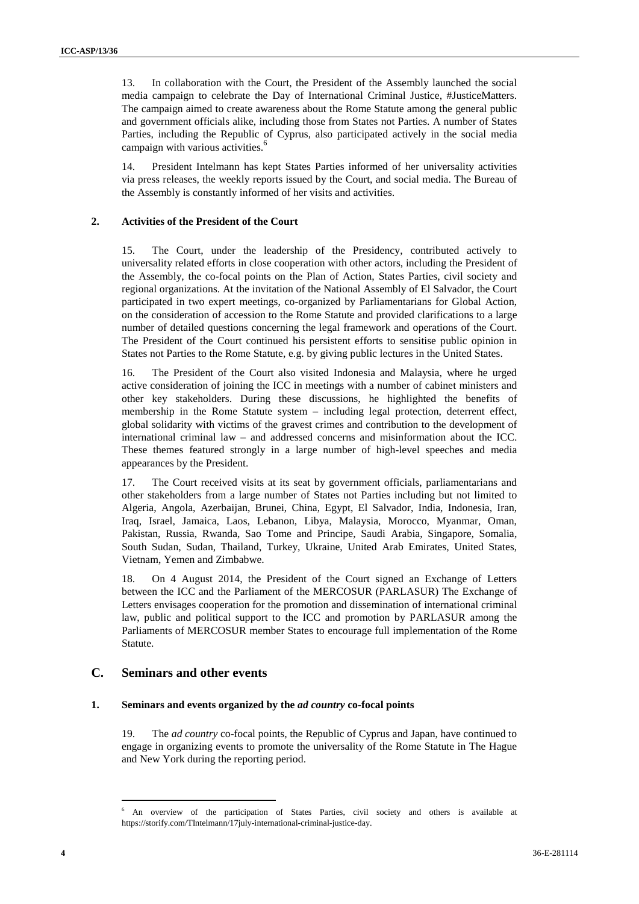13. In collaboration with the Court, the President of the Assembly launched the social media campaign to celebrate the Day of International Criminal Justice, #JusticeMatters. The campaign aimed to create awareness about the Rome Statute among the general public and government officials alike, including those from States not Parties. A number of States Parties, including the Republic of Cyprus, also participated actively in the social media campaign with various activities.<sup>6</sup>

14. President Intelmann has kept States Parties informed of her universality activities via press releases, the weekly reports issued by the Court, and social media. The Bureau of the Assembly is constantly informed of her visits and activities.

#### **2. Activities of the President of the Court**

15. The Court, under the leadership of the Presidency, contributed actively to universality related efforts in close cooperation with other actors, including the President of the Assembly, the co-focal points on the Plan of Action, States Parties, civil society and regional organizations. At the invitation of the National Assembly of El Salvador, the Court participated in two expert meetings, co-organized by Parliamentarians for Global Action, on the consideration of accession to the Rome Statute and provided clarifications to a large number of detailed questions concerning the legal framework and operations of the Court. The President of the Court continued his persistent efforts to sensitise public opinion in States not Parties to the Rome Statute, e.g. by giving public lectures in the United States.

16. The President of the Court also visited Indonesia and Malaysia, where he urged active consideration of joining the ICC in meetings with a number of cabinet ministers and other key stakeholders. During these discussions, he highlighted the benefits of membership in the Rome Statute system – including legal protection, deterrent effect, global solidarity with victims of the gravest crimes and contribution to the development of international criminal law – and addressed concerns and misinformation about the ICC. These themes featured strongly in a large number of high-level speeches and media appearances by the President.

17. The Court received visits at its seat by government officials, parliamentarians and other stakeholders from a large number of States not Parties including but not limited to Algeria, Angola, Azerbaijan, Brunei, China, Egypt, El Salvador, India, Indonesia, Iran, Iraq, Israel, Jamaica, Laos, Lebanon, Libya, Malaysia, Morocco, Myanmar, Oman, Pakistan, Russia, Rwanda, Sao Tome and Principe, Saudi Arabia, Singapore, Somalia, South Sudan, Sudan, Thailand, Turkey, Ukraine, United Arab Emirates, United States, Vietnam, Yemen and Zimbabwe.

18. On 4 August 2014, the President of the Court signed an Exchange of Letters between the ICC and the Parliament of the MERCOSUR (PARLASUR) The Exchange of Letters envisages cooperation for the promotion and dissemination of international criminal law, public and political support to the ICC and promotion by PARLASUR among the Parliaments of MERCOSUR member States to encourage full implementation of the Rome Statute.

### **C. Seminars and other events**

#### **1. Seminars and events organized by the** *ad country* **co-focal points**

19. The *ad country* co-focal points, the Republic of Cyprus and Japan, have continued to engage in organizing events to promote the universality of the Rome Statute in The Hague and New York during the reporting period.

<sup>6</sup> An overview of the participation of States Parties, civil society and others is available at https://storify.com/TIntelmann/17july-international-criminal-justice-day.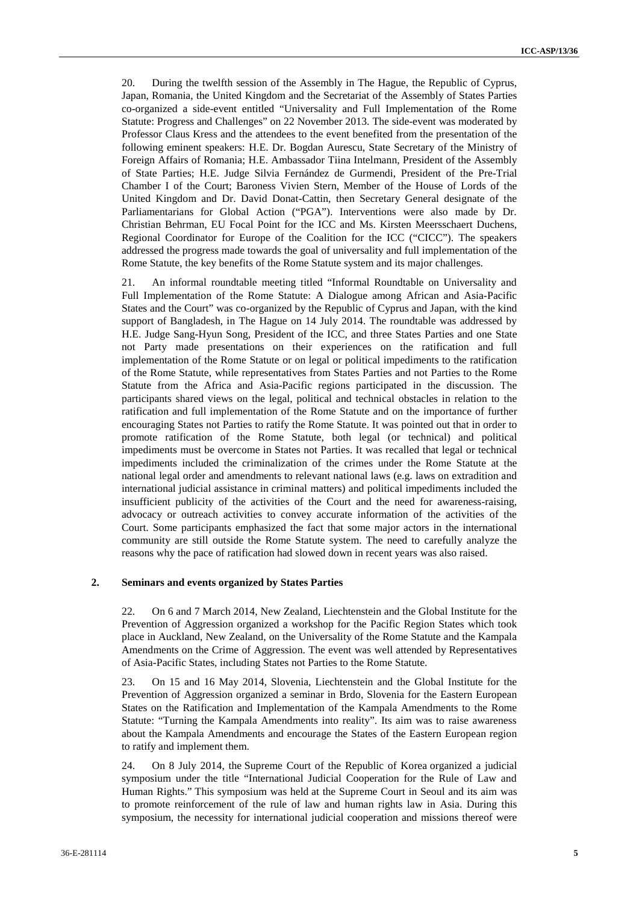20. During the twelfth session of the Assembly in The Hague, the Republic of Cyprus, Japan, Romania, the United Kingdom and the Secretariat of the Assembly of States Parties co-organized a side-event entitled "Universality and Full Implementation of the Rome Statute: Progress and Challenges" on 22 November 2013. The side-event was moderated by Professor Claus Kress and the attendees to the event benefited from the presentation of the following eminent speakers: H.E. Dr. Bogdan Aurescu, State Secretary of the Ministry of Foreign Affairs of Romania; H.E. Ambassador Tiina Intelmann, President of the Assembly of State Parties; H.E. Judge Silvia Fernández de Gurmendi, President of the Pre-Trial Chamber I of the Court; Baroness Vivien Stern, Member of the House of Lords of the United Kingdom and Dr. David Donat-Cattin, then Secretary General designate of the Parliamentarians for Global Action ("PGA"). Interventions were also made by Dr. Christian Behrman, EU Focal Point for the ICC and Ms. Kirsten Meersschaert Duchens, Regional Coordinator for Europe of the Coalition for the ICC ("CICC"). The speakers addressed the progress made towards the goal of universality and full implementation of the Rome Statute, the key benefits of the Rome Statute system and its major challenges.

21. An informal roundtable meeting titled "Informal Roundtable on Universality and Full Implementation of the Rome Statute: A Dialogue among African and Asia-Pacific States and the Court" was co-organized by the Republic of Cyprus and Japan, with the kind support of Bangladesh, in The Hague on 14 July 2014. The roundtable was addressed by H.E. Judge Sang-Hyun Song, President of the ICC, and three States Parties and one State not Party made presentations on their experiences on the ratification and full implementation of the Rome Statute or on legal or political impediments to the ratification of the Rome Statute, while representatives from States Parties and not Parties to the Rome Statute from the Africa and Asia-Pacific regions participated in the discussion. The participants shared views on the legal, political and technical obstacles in relation to the ratification and full implementation of the Rome Statute and on the importance of further encouraging States not Parties to ratify the Rome Statute. It was pointed out that in order to promote ratification of the Rome Statute, both legal (or technical) and political impediments must be overcome in States not Parties. It was recalled that legal or technical impediments included the criminalization of the crimes under the Rome Statute at the national legal order and amendments to relevant national laws (e.g. laws on extradition and international judicial assistance in criminal matters) and political impediments included the insufficient publicity of the activities of the Court and the need for awareness-raising, advocacy or outreach activities to convey accurate information of the activities of the Court. Some participants emphasized the fact that some major actors in the international community are still outside the Rome Statute system. The need to carefully analyze the reasons why the pace of ratification had slowed down in recent years was also raised.

#### **2. Seminars and events organized by States Parties**

22. On 6 and 7 March 2014, New Zealand, Liechtenstein and the Global Institute for the Prevention of Aggression organized a workshop for the Pacific Region States which took place in Auckland, New Zealand, on the Universality of the Rome Statute and the Kampala Amendments on the Crime of Aggression. The event was well attended by Representatives of Asia-Pacific States, including States not Parties to the Rome Statute.

23. On 15 and 16 May 2014, Slovenia, Liechtenstein and the Global Institute for the Prevention of Aggression organized a seminar in Brdo, Slovenia for the Eastern European States on the Ratification and Implementation of the Kampala Amendments to the Rome Statute: " urning the Kampala Amendments into reality". Its aim was to raise awareness about the Kampala Amendments and encourage the States of the Eastern European region to ratify and implement them.

24. On 8 July 2014, the Supreme Court of the Republic of Korea organized a judicial symposium under the title "International Judicial Cooperation for the Rule of Law and Human Rights." This symposium was held at the Supreme Court in Seoul and its aim was to promote reinforcement of the rule of law and human rights law in Asia. During this symposium, the necessity for international judicial cooperation and missions thereof were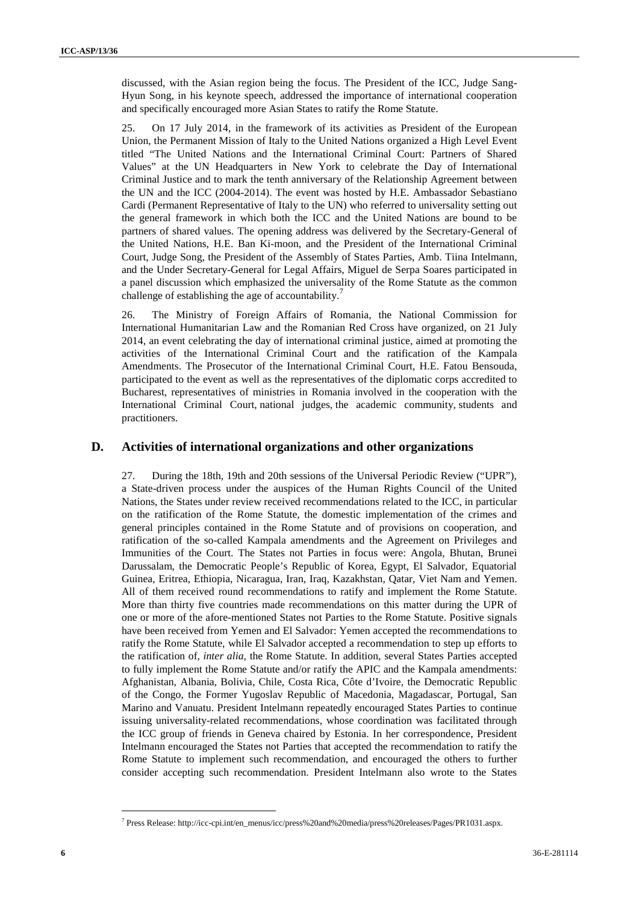discussed, with the Asian region being the focus. The President of the ICC, Judge Sang- Hyun Song, in his keynote speech, addressed the importance of international cooperation and specifically encouraged more Asian States to ratify the Rome Statute.

25. On 17 July 2014, in the framework of its activities as President of the European Union, the Permanent Mission of Italy to the United Nations organized a High Level Event titled "The United Nations and the International Criminal Court: Partners of Shared Values" at the UN Headquarters in New York to celebrate the Day of International Criminal Justice and to mark the tenth anniversary of the Relationship Agreement between the UN and the ICC (2004-2014). The event was hosted by H.E. Ambassador Sebastiano Cardi (Permanent Representative of Italy to the UN) who referred to universality setting out the general framework in which both the ICC and the United Nations are bound to be partners of shared values. The opening address was delivered by the Secretary-General of the United Nations, H.E. Ban Ki-moon, and the President of the International Criminal Court, Judge Song, the President of the Assembly of States Parties, Amb. Tiina Intelmann, and the Under Secretary-General for Legal Affairs, Miguel de Serpa Soares participated in a panel discussion which emphasized the universality of the Rome Statute as the common challenge of establishing the age of accountability.<sup>7</sup>

26. The Ministry of Foreign Affairs of Romania, the National Commission for International Humanitarian Law and the Romanian Red Cross have organized, on 21 July 2014, an event celebrating the day of international criminal justice, aimed at promoting the activities of the International Criminal Court and the ratification of the Kampala Amendments. The Prosecutor of the International Criminal Court, H.E. Fatou Bensouda, participated to the event as well as the representatives of the diplomatic corps accredited to Bucharest, representatives of ministries in Romania involved in the cooperation with the International Criminal Court, national judges, the academic community, students and practitioners.

#### **D. Activities of international organizations and other organizations**

27. During the 18th, 19th and 20th sessions of the Universal Periodic Review ("UPR"), a State-driven process under the auspices of the Human Rights Council of the United Nations, the States under review received recommendations related to the ICC, in particular on the ratification of the Rome Statute, the domestic implementation of the crimes and general principles contained in the Rome Statute and of provisions on cooperation, and ratification of the so-called Kampala amendments and the Agreement on Privileges and Immunities of the Court. The States not Parties in focus were: Angola, Bhutan, Brunei Darussalam, the Democratic People's Republic of Korea, Egypt, El Salvador, Equatorial Guinea, Eritrea, Ethiopia, Nicaragua, Iran, Iraq, Kazakhstan, Qatar, Viet Nam and Yemen. All of them received round recommendations to ratify and implement the Rome Statute. More than thirty five countries made recommendations on this matter during the UPR of one or more of the afore-mentioned States not Parties to the Rome Statute. Positive signals have been received from Yemen and El Salvador: Yemen accepted the recommendations to ratify the Rome Statute, while El Salvador accepted a recommendation to step up efforts to the ratification of, *inter alia*, the Rome Statute. In addition, several States Parties accepted to fully implement the Rome Statute and/or ratify the APIC and the Kampala amendments: Afghanistan, Albania, Bolivia, Chile, Costa Rica, Côte d'Ivoire, the Democratic Republic of the Congo, the Former Yugoslav Republic of Macedonia, Magadascar, Portugal, San Marino and Vanuatu. President Intelmann repeatedly encouraged States Parties to continue issuing universality-related recommendations, whose coordination was facilitated through the ICC group of friends in Geneva chaired by Estonia. In her correspondence, President Intelmann encouraged the States not Parties that accepted the recommendation to ratify the Rome Statute to implement such recommendation, and encouraged the others to further consider accepting such recommendation. President Intelmann also wrote to the States

<sup>7</sup> Press Release: http://icc-cpi.int/en\_menus/icc/press%20and%20media/press%20releases/Pages/PR1031.aspx.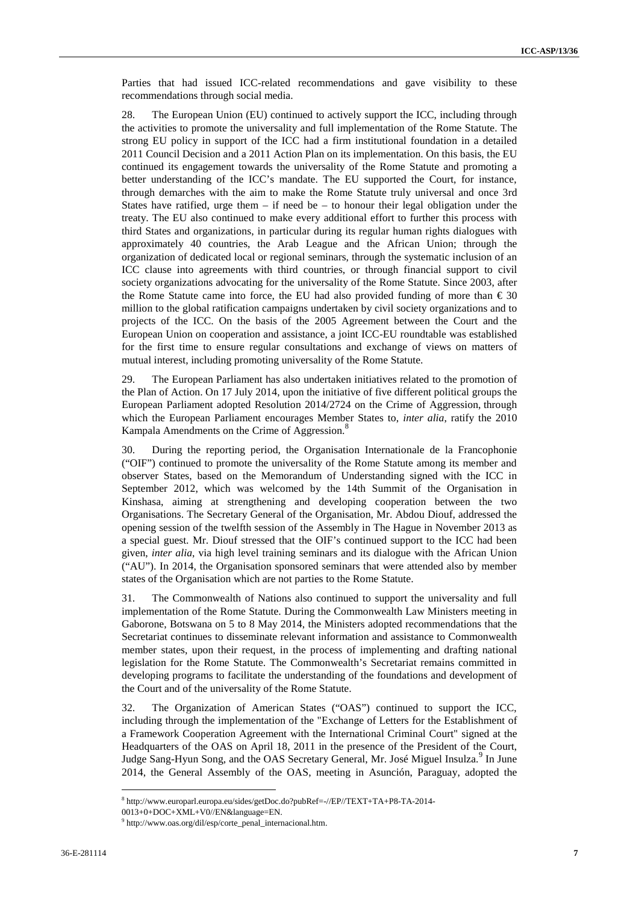Parties that had issued ICC-related recommendations and gave visibility to these recommendations through social media.

28. The European Union (EU) continued to actively support the ICC, including through the activities to promote the universality and full implementation of the Rome Statute. The strong EU policy in support of the ICC had a firm institutional foundation in a detailed 2011 Council Decision and a 2011 Action Plan on its implementation. On this basis, the EU continued its engagement towards the universality of the Rome Statute and promoting a better understanding of the ICC's mandate. The EU supported the Court, for instance, through demarches with the aim to make the Rome Statute truly universal and once 3rd States have ratified, urge them  $-$  if need be  $-$  to honour their legal obligation under the treaty. The EU also continued to make every additional effort to further this process with third States and organizations, in particular during its regular human rights dialogues with approximately 40 countries, the Arab League and the African Union; through the organization of dedicated local or regional seminars, through the systematic inclusion of an ICC clause into agreements with third countries, or through financial support to civil society organizations advocating for the universality of the Rome Statute. Since 2003, after the Rome Statute came into force, the EU had also provided funding of more than  $\epsilon$  30 million to the global ratification campaigns undertaken by civil society organizations and to projects of the ICC. On the basis of the 2005 Agreement between the Court and the European Union on cooperation and assistance, a joint ICC-EU roundtable was established for the first time to ensure regular consultations and exchange of views on matters of mutual interest, including promoting universality of the Rome Statute.

29. The European Parliament has also undertaken initiatives related to the promotion of the Plan of Action. On 17 July 2014, upon the initiative of five different political groups the European Parliament adopted Resolution 2014/2724 on the Crime of Aggression, through which the European Parliament encourages Member States to, *inter alia*, ratify the 2010 Kampala Amendments on the Crime of Aggression.<sup>8</sup>

30. During the reporting period, the Organisation Internationale de la Francophonie ("OIF") continued to promote the universality of the Rome Statute among its member and observer States, based on the Memorandum of Understanding signed with the ICC in September 2012, which was welcomed by the 14th Summit of the Organisation in Kinshasa, aiming at strengthening and developing cooperation between the two Organisations. The Secretary General of the Organisation, Mr. Abdou Diouf, addressed the opening session of the twelfth session of the Assembly in The Hague in November 2013 as a special guest. Mr. Diouf stressed that the OIF's continued support to the ICC had been given, *inter alia*, via high level training seminars and its dialogue with the African Union ("AU"). In 2014, the Organisation sponsored seminars that were attended also by member states of the Organisation which are not parties to the Rome Statute.

31. The Commonwealth of Nations also continued to support the universality and full implementation of the Rome Statute. During the Commonwealth Law Ministers meeting in Gaborone, Botswana on 5 to 8 May 2014, the Ministers adopted recommendations that the Secretariat continues to disseminate relevant information and assistance to Commonwealth member states, upon their request, in the process of implementing and drafting national legislation for the Rome Statute. The Commonwealth's Secretariat remains committed in developing programs to facilitate the understanding of the foundations and development of the Court and of the universality of the Rome Statute.

32. The Organization of American States ("OAS") continued to support the ICC, including through the implementation of the "Exchange of Letters for the Establishment of a Framework Cooperation Agreement with the International Criminal Court" signed at the Headquarters of the OAS on April 18, 2011 in the presence of the President of the Court, Judge Sang-Hyun Song, and the OAS Secretary General, Mr. José Miguel Insulza.<sup>9</sup> In June 2014, the General Assembly of the OAS, meeting in Asunción, Paraguay, adopted the

<sup>8</sup> http://www.europarl.europa.eu/sides/getDoc.do?pubRef=-//EP//TEXT+TA+P8-TA-2014-

<sup>0013+0+</sup>DOC+XML+V0//EN&language=EN.

<sup>9</sup> http://www.oas.org/dil/esp/corte\_penal\_internacional.htm.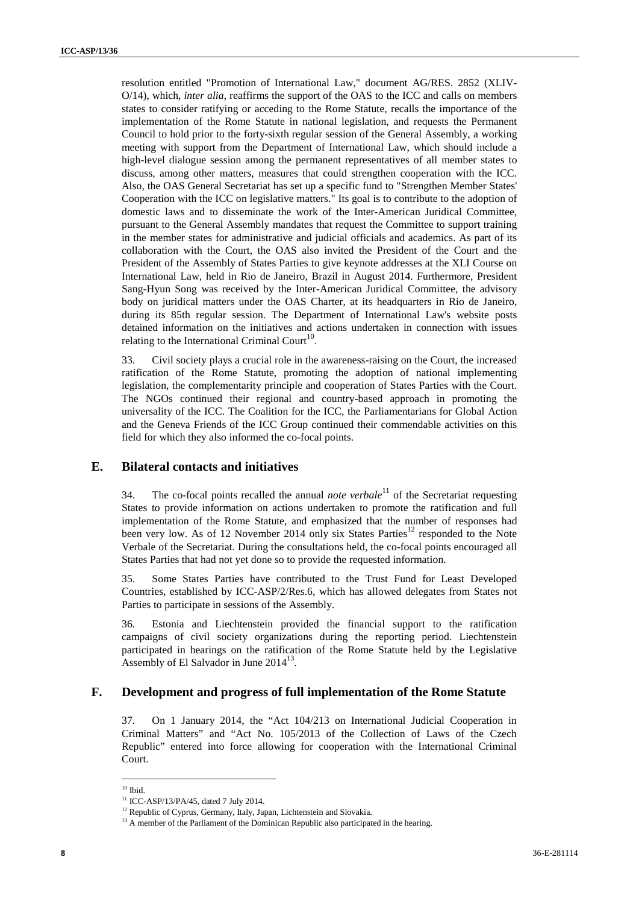resolution entitled "Promotion of International Law," document AG/RES. 2852 (XLIV- O/14), which, *inter alia*, reaffirms the support of the OAS to the ICC and calls on members states to consider ratifying or acceding to the Rome Statute, recalls the importance of the implementation of the Rome Statute in national legislation, and requests the Permanent Council to hold prior to the forty-sixth regular session of the General Assembly, a working meeting with support from the Department of International Law, which should include a high-level dialogue session among the permanent representatives of all member states to discuss, among other matters, measures that could strengthen cooperation with the ICC. Also, the OAS General Secretariat has set up a specific fund to "Strengthen Member States' Cooperation with the ICC on legislative matters." Its goal is to contribute to the adoption of domestic laws and to disseminate the work of the Inter-American Juridical Committee, pursuant to the General Assembly mandates that request the Committee to support training in the member states for administrative and judicial officials and academics. As part of its collaboration with the Court, the OAS also invited the President of the Court and the President of the Assembly of States Parties to give keynote addresses at the XLI Course on International Law, held in Rio de Janeiro, Brazil in August 2014. Furthermore, President Sang-Hyun Song was received by the Inter-American Juridical Committee, the advisory body on juridical matters under the OAS Charter, at its headquarters in Rio de Janeiro, during its 85th regular session. The Department of International Law's website posts detained information on the initiatives and actions undertaken in connection with issues relating to the International Criminal Court $^{10}$ .

33. Civil society plays a crucial role in the awareness-raising on the Court, the increased ratification of the Rome Statute, promoting the adoption of national implementing legislation, the complementarity principle and cooperation of States Parties with the Court. The NGOs continued their regional and country-based approach in promoting the universality of the ICC. The Coalition for the ICC, the Parliamentarians for Global Action and the Geneva Friends of the ICC Group continued their commendable activities on this field for which they also informed the co-focal points.

### **E. Bilateral contacts and initiatives**

34. The co-focal points recalled the annual *note verbale*<sup>11</sup> of the Secretariat requesting States to provide information on actions undertaken to promote the ratification and full implementation of the Rome Statute, and emphasized that the number of responses had been very low. As of 12 November 2014 only six States Parties<sup>12</sup> responded to the Note Verbale of the Secretariat. During the consultations held, the co-focal points encouraged all States Parties that had not yet done so to provide the requested information.

35. Some States Parties have contributed to the Trust Fund for Least Developed Countries, established by ICC-ASP/2/Res.6, which has allowed delegates from States not Parties to participate in sessions of the Assembly.

36. Estonia and Liechtenstein provided the financial support to the ratification campaigns of civil society organizations during the reporting period. Liechtenstein participated in hearings on the ratification of the Rome Statute held by the Legislative Assembly of El Salvador in June 2014<sup>13</sup>.

## **F. Development and progress of full implementation of the Rome Statute**

37. On 1 January 2014, the "Act 104/213 on International Judicial Cooperation in Criminal Matters" and "Act No. 105/2013 of the Collection of Laws of the Czech Republic" entered into force allowing for cooperation with the International Criminal Court.

 $10$  Ibid.

<sup>11</sup> ICC-ASP/13/PA/45, dated 7 July 2014.

<sup>&</sup>lt;sup>12</sup> Republic of Cyprus, Germany, Italy, Japan, Lichtenstein and Slovakia.

<sup>&</sup>lt;sup>13</sup> A member of the Parliament of the Dominican Republic also participated in the hearing.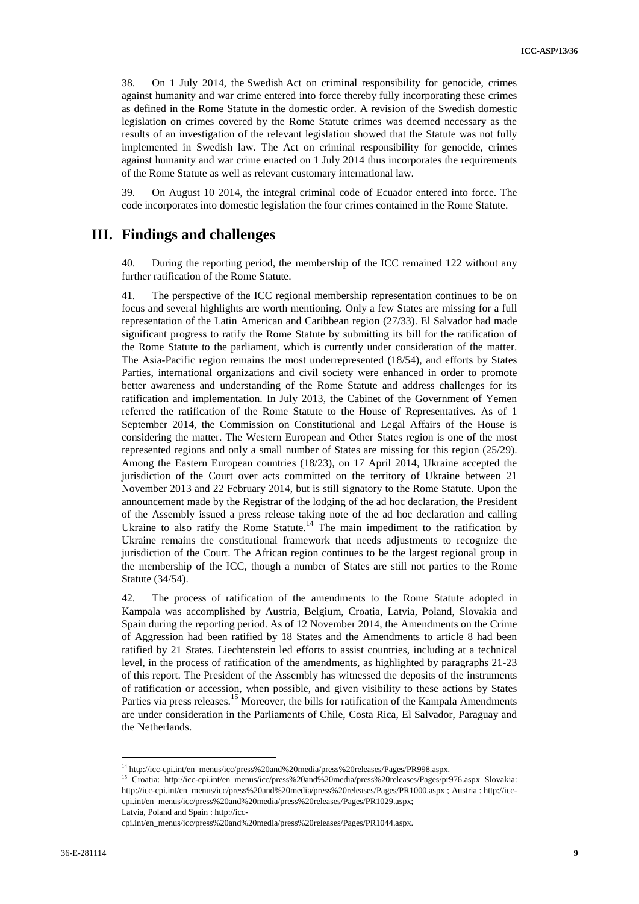38. On 1 July 2014, the Swedish Act on criminal responsibility for genocide, crimes against humanity and war crime entered into force thereby fully incorporating these crimes as defined in the Rome Statute in the domestic order. A revision of the Swedish domestic legislation on crimes covered by the Rome Statute crimes was deemed necessary as the results of an investigation of the relevant legislation showed that the Statute was not fully implemented in Swedish law. The Act on criminal responsibility for genocide, crimes against humanity and war crime enacted on 1 July 2014 thus incorporates the requirements of the Rome Statute as well as relevant customary international law.

39. On August 10 2014, the integral criminal code of Ecuador entered into force. The code incorporates into domestic legislation the four crimes contained in the Rome Statute.

## **III. Findings and challenges**

40. During the reporting period, the membership of the ICC remained 122 without any further ratification of the Rome Statute.

41. The perspective of the ICC regional membership representation continues to be on focus and several highlights are worth mentioning. Only a few States are missing for a full representation of the Latin American and Caribbean region (27/33). El Salvador had made significant progress to ratify the Rome Statute by submitting its bill for the ratification of the Rome Statute to the parliament, which is currently under consideration of the matter. The Asia-Pacific region remains the most underrepresented (18/54), and efforts by States Parties, international organizations and civil society were enhanced in order to promote better awareness and understanding of the Rome Statute and address challenges for its ratification and implementation. In July 2013, the Cabinet of the Government of Yemen referred the ratification of the Rome Statute to the House of Representatives. As of 1 September 2014, the Commission on Constitutional and Legal Affairs of the House is considering the matter. The Western European and Other States region is one of the most represented regions and only a small number of States are missing for this region (25/29). Among the Eastern European countries (18/23), on 17 April 2014, Ukraine accepted the jurisdiction of the Court over acts committed on the territory of Ukraine between 21 November 2013 and 22 February 2014, but is still signatory to the Rome Statute. Upon the announcement made by the Registrar of the lodging of the ad hoc declaration, the President of the Assembly issued a press release taking note of the ad hoc declaration and calling Ukraine to also ratify the Rome Statute.<sup>14</sup> The main impediment to the ratification by Ukraine remains the constitutional framework that needs adjustments to recognize the jurisdiction of the Court. The African region continues to be the largest regional group in the membership of the ICC, though a number of States are still not parties to the Rome Statute (34/54).

42. The process of ratification of the amendments to the Rome Statute adopted in Kampala was accomplished by Austria, Belgium, Croatia, Latvia, Poland, Slovakia and Spain during the reporting period. As of 12 November 2014, the Amendments on the Crime of Aggression had been ratified by 18 States and the Amendments to article 8 had been ratified by 21 States. Liechtenstein led efforts to assist countries, including at a technical level, in the process of ratification of the amendments, as highlighted by paragraphs 21-23 of this report. The President of the Assembly has witnessed the deposits of the instruments of ratification or accession, when possible, and given visibility to these actions by States Parties via press releases.<sup>15</sup> Moreover, the bills for ratification of the Kampala Amendments are under consideration in the Parliaments of Chile, Costa Rica, El Salvador, Paraguay and the Netherlands.

<sup>14</sup> http://icc-cpi.int/en\_menus/icc/press%20and%20media/press%20releases/Pages/PR998.aspx.

<sup>15</sup> Croatia: http://icc-cpi.int/en\_menus/icc/press%20and%20media/press%20releases/Pages/pr976.aspx Slovakia: http://icc-cpi.int/en\_menus/icc/press%20and%20media/press%20releases/Pages/PR1000.aspx ; Austria : http://icc cpi.int/en\_menus/icc/press%20and%20media/press%20releases/Pages/PR1029.aspx; Latvia, Poland and Spain : http://icc-

cpi.int/en\_menus/icc/press%20and%20media/press%20releases/Pages/PR1044.aspx.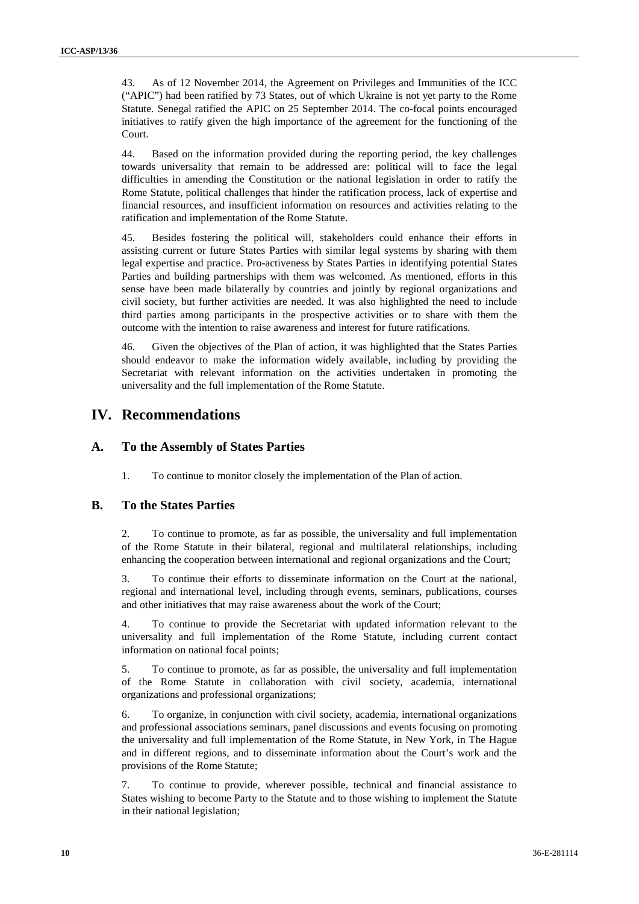43. As of 12 November 2014, the Agreement on Privileges and Immunities of the ICC ("APIC") had been ratified by 73 States, out of which Ukraine is not yet party to the Rome Statute. Senegal ratified the APIC on 25 September 2014. The co-focal points encouraged initiatives to ratify given the high importance of the agreement for the functioning of the Court.

44. Based on the information provided during the reporting period, the key challenges towards universality that remain to be addressed are: political will to face the legal difficulties in amending the Constitution or the national legislation in order to ratify the Rome Statute, political challenges that hinder the ratification process, lack of expertise and financial resources, and insufficient information on resources and activities relating to the ratification and implementation of the Rome Statute.

45. Besides fostering the political will, stakeholders could enhance their efforts in assisting current or future States Parties with similar legal systems by sharing with them legal expertise and practice. Pro-activeness by States Parties in identifying potential States Parties and building partnerships with them was welcomed. As mentioned, efforts in this sense have been made bilaterally by countries and jointly by regional organizations and civil society, but further activities are needed. It was also highlighted the need to include third parties among participants in the prospective activities or to share with them the outcome with the intention to raise awareness and interest for future ratifications.

46. Given the objectives of the Plan of action, it was highlighted that the States Parties should endeavor to make the information widely available, including by providing the Secretariat with relevant information on the activities undertaken in promoting the universality and the full implementation of the Rome Statute.

## **IV. Recommendations**

## **A. To the Assembly of States Parties**

1. To continue to monitor closely the implementation of the Plan of action.

## **B. To the States Parties**

2. To continue to promote, as far as possible, the universality and full implementation of the Rome Statute in their bilateral, regional and multilateral relationships, including enhancing the cooperation between international and regional organizations and the Court;

3. To continue their efforts to disseminate information on the Court at the national, regional and international level, including through events, seminars, publications, courses and other initiatives that may raise awareness about the work of the Court;

4. To continue to provide the Secretariat with updated information relevant to the universality and full implementation of the Rome Statute, including current contact information on national focal points;

5. To continue to promote, as far as possible, the universality and full implementation of the Rome Statute in collaboration with civil society, academia, international organizations and professional organizations;

6. To organize, in conjunction with civil society, academia, international organizations and professional associations seminars, panel discussions and events focusing on promoting the universality and full implementation of the Rome Statute, in New York, in The Hague and in different regions, and to disseminate information about the Court's work and the provisions of the Rome Statute;

7. To continue to provide, wherever possible, technical and financial assistance to States wishing to become Party to the Statute and to those wishing to implement the Statute in their national legislation;